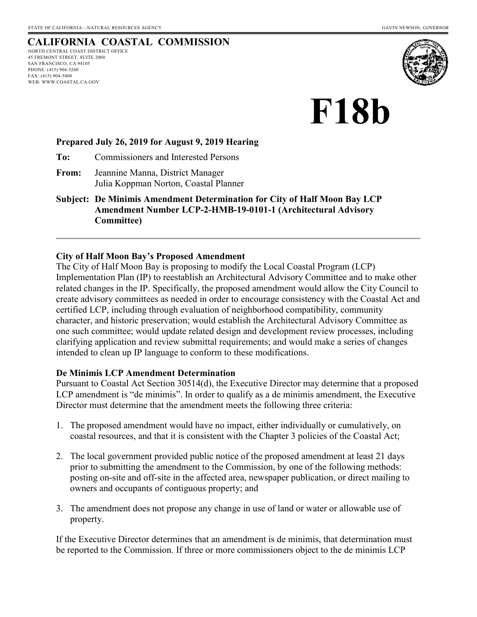## **CALIFORNIA COASTAL COMMISSION**

NORTH CENTRAL COAST DISTRICT OFFICE 45 FREMONT STREET, SUITE 2000 SAN FRANCISCO, CA 94105 PHONE: (415) 904-5260 FAX: (415) 904-5400 WEB: WWW.COASTAL.CA.GOV



# **F18b**

#### **Prepared July 26, 2019 for August 9, 2019 Hearing**

**To:** Commissioners and Interested Persons

- **From:** Jeannine Manna, District Manager Julia Koppman Norton, Coastal Planner
- **Subject: De Minimis Amendment Determination for City of Half Moon Bay LCP Amendment Number LCP-2-HMB-19-0101-1 (Architectural Advisory Committee)**

#### **City of Half Moon Bay's Proposed Amendment**

The City of Half Moon Bay is proposing to modify the Local Coastal Program (LCP) Implementation Plan (IP) to reestablish an Architectural Advisory Committee and to make other related changes in the IP. Specifically, the proposed amendment would allow the City Council to create advisory committees as needed in order to encourage consistency with the Coastal Act and certified LCP, including through evaluation of neighborhood compatibility, community character, and historic preservation; would establish the Architectural Advisory Committee as one such committee; would update related design and development review processes, including clarifying application and review submittal requirements; and would make a series of changes intended to clean up IP language to conform to these modifications.

#### **De Minimis LCP Amendment Determination**

Pursuant to Coastal Act Section 30514(d), the Executive Director may determine that a proposed LCP amendment is "de minimis". In order to qualify as a de minimis amendment, the Executive Director must determine that the amendment meets the following three criteria:

- 1. The proposed amendment would have no impact, either individually or cumulatively, on coastal resources, and that it is consistent with the Chapter 3 policies of the Coastal Act;
- 2. The local government provided public notice of the proposed amendment at least 21 days prior to submitting the amendment to the Commission, by one of the following methods: posting on-site and off-site in the affected area, newspaper publication, or direct mailing to owners and occupants of contiguous property; and
- 3. The amendment does not propose any change in use of land or water or allowable use of property.

If the Executive Director determines that an amendment is de minimis, that determination must be reported to the Commission. If three or more commissioners object to the de minimis LCP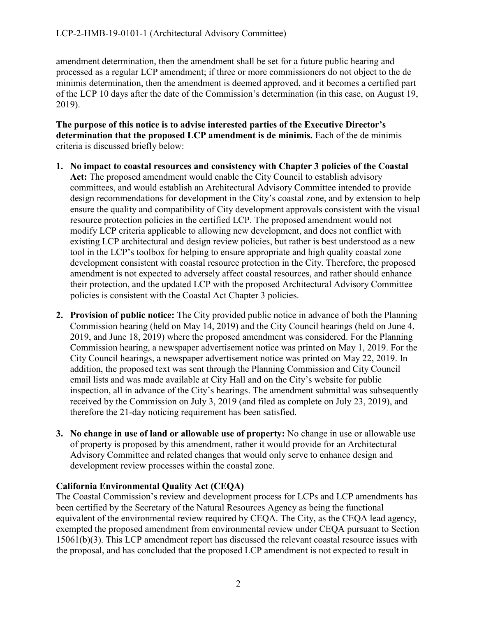amendment determination, then the amendment shall be set for a future public hearing and processed as a regular LCP amendment; if three or more commissioners do not object to the de minimis determination, then the amendment is deemed approved, and it becomes a certified part of the LCP 10 days after the date of the Commission's determination (in this case, on August 19, 2019).

**The purpose of this notice is to advise interested parties of the Executive Director's determination that the proposed LCP amendment is de minimis.** Each of the de minimis criteria is discussed briefly below:

- **1. No impact to coastal resources and consistency with Chapter 3 policies of the Coastal Act:** The proposed amendment would enable the City Council to establish advisory committees, and would establish an Architectural Advisory Committee intended to provide design recommendations for development in the City's coastal zone, and by extension to help ensure the quality and compatibility of City development approvals consistent with the visual resource protection policies in the certified LCP. The proposed amendment would not modify LCP criteria applicable to allowing new development, and does not conflict with existing LCP architectural and design review policies, but rather is best understood as a new tool in the LCP's toolbox for helping to ensure appropriate and high quality coastal zone development consistent with coastal resource protection in the City. Therefore, the proposed amendment is not expected to adversely affect coastal resources, and rather should enhance their protection, and the updated LCP with the proposed Architectural Advisory Committee policies is consistent with the Coastal Act Chapter 3 policies.
- **2. Provision of public notice:** The City provided public notice in advance of both the Planning Commission hearing (held on May 14, 2019) and the City Council hearings (held on June 4, 2019, and June 18, 2019) where the proposed amendment was considered. For the Planning Commission hearing, a newspaper advertisement notice was printed on May 1, 2019. For the City Council hearings, a newspaper advertisement notice was printed on May 22, 2019. In addition, the proposed text was sent through the Planning Commission and City Council email lists and was made available at City Hall and on the City's website for public inspection, all in advance of the City's hearings. The amendment submittal was subsequently received by the Commission on July 3, 2019 (and filed as complete on July 23, 2019), and therefore the 21-day noticing requirement has been satisfied.
- **3. No change in use of land or allowable use of property:** No change in use or allowable use of property is proposed by this amendment, rather it would provide for an Architectural Advisory Committee and related changes that would only serve to enhance design and development review processes within the coastal zone.

### **California Environmental Quality Act (CEQA)**

The Coastal Commission's review and development process for LCPs and LCP amendments has been certified by the Secretary of the Natural Resources Agency as being the functional equivalent of the environmental review required by CEQA. The City, as the CEQA lead agency, exempted the proposed amendment from environmental review under CEQA pursuant to Section 15061(b)(3). This LCP amendment report has discussed the relevant coastal resource issues with the proposal, and has concluded that the proposed LCP amendment is not expected to result in